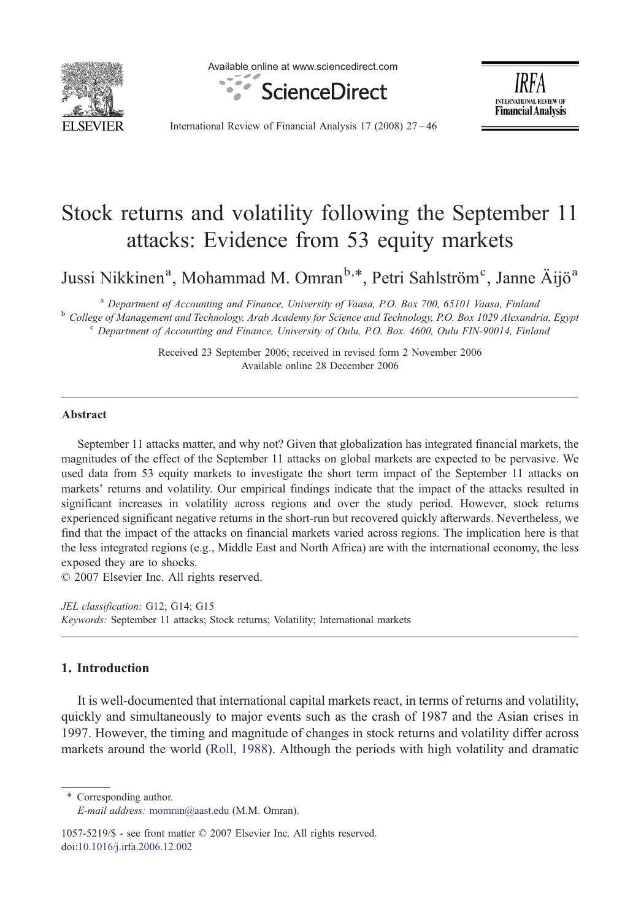

Available online at www.sciencedirect.com





International Review of Financial Analysis 17 (2008) 27–46

## Stock returns and volatility following the September 11 attacks: Evidence from 53 equity markets

Jussi Nikkinen<sup>a</sup>, Mohammad M. Omran<sup>b,\*</sup>, Petri Sahlström<sup>c</sup>, Janne Äijö<sup>a</sup>

<sup>a</sup> Department of Accounting and Finance, University of Vaasa, P.O. Box 700, 65101 Vaasa, Finland<br><sup>b</sup> College of Management and Technology, Arab Academy for Science and Technology, P.O. Box 1029 Alexandria, Egypt <sup>c</sup> Department of Accounting and Finance, University of Oulu, P.O. Box. 4600, Oulu FIN-90014, Finland

> Received 23 September 2006; received in revised form 2 November 2006 Available online 28 December 2006

## Abstract

September 11 attacks matter, and why not? Given that globalization has integrated financial markets, the magnitudes of the effect of the September 11 attacks on global markets are expected to be pervasive. We used data from 53 equity markets to investigate the short term impact of the September 11 attacks on markets' returns and volatility. Our empirical findings indicate that the impact of the attacks resulted in significant increases in volatility across regions and over the study period. However, stock returns experienced significant negative returns in the short-run but recovered quickly afterwards. Nevertheless, we find that the impact of the attacks on financial markets varied across regions. The implication here is that the less integrated regions (e.g., Middle East and North Africa) are with the international economy, the less exposed they are to shocks.

© 2007 Elsevier Inc. All rights reserved.

JEL classification: G12; G14; G15 Keywords: September 11 attacks; Stock returns; Volatility; International markets

## 1. Introduction

It is well-documented that international capital markets react, in terms of returns and volatility, quickly and simultaneously to major events such as the crash of 1987 and the Asian crises in 1997. However, the timing and magnitude of changes in stock returns and volatility differ across markets around the world [\(Roll, 1988](#page--1-0)). Although the periods with high volatility and dramatic

⁎ Corresponding author.

E-mail address: [momran@aast.edu](mailto:momran@aast.edu) (M.M. Omran).

1057-5219/\$ - see front matter © 2007 Elsevier Inc. All rights reserved. doi:[10.1016/j.irfa.2006.12.002](http://dx.doi.org/10.1016/j.irfa.2006.12.002)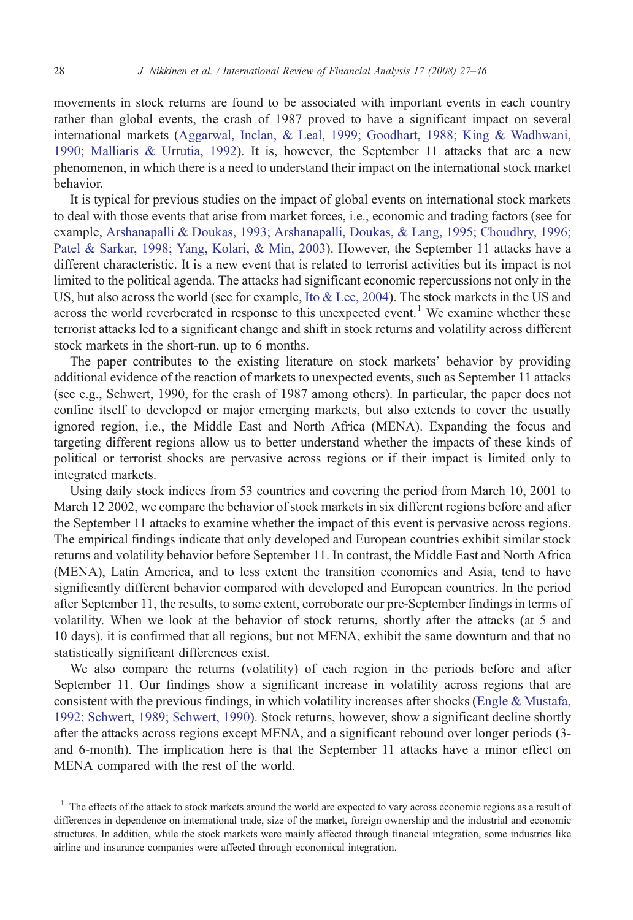movements in stock returns are found to be associated with important events in each country rather than global events, the crash of 1987 proved to have a significant impact on several international markets [\(Aggarwal, Inclan, & Leal, 1999; Goodhart, 1988; King & Wadhwani,](#page--1-0) [1990; Malliaris & Urrutia, 1992](#page--1-0)). It is, however, the September 11 attacks that are a new phenomenon, in which there is a need to understand their impact on the international stock market behavior.

It is typical for previous studies on the impact of global events on international stock markets to deal with those events that arise from market forces, i.e., economic and trading factors (see for example, [Arshanapalli & Doukas, 1993; Arshanapalli, Doukas, & Lang, 1995; Choudhry, 1996;](#page--1-0) [Patel & Sarkar, 1998; Yang, Kolari, & Min, 2003](#page--1-0)). However, the September 11 attacks have a different characteristic. It is a new event that is related to terrorist activities but its impact is not limited to the political agenda. The attacks had significant economic repercussions not only in the US, but also across the world (see for example, [Ito & Lee, 2004\)](#page--1-0). The stock markets in the US and across the world reverberated in response to this unexpected event.<sup>1</sup> We examine whether these terrorist attacks led to a significant change and shift in stock returns and volatility across different stock markets in the short-run, up to 6 months.

The paper contributes to the existing literature on stock markets' behavior by providing additional evidence of the reaction of markets to unexpected events, such as September 11 attacks (see e.g., Schwert, 1990, for the crash of 1987 among others). In particular, the paper does not confine itself to developed or major emerging markets, but also extends to cover the usually ignored region, i.e., the Middle East and North Africa (MENA). Expanding the focus and targeting different regions allow us to better understand whether the impacts of these kinds of political or terrorist shocks are pervasive across regions or if their impact is limited only to integrated markets.

Using daily stock indices from 53 countries and covering the period from March 10, 2001 to March 12 2002, we compare the behavior of stock markets in six different regions before and after the September 11 attacks to examine whether the impact of this event is pervasive across regions. The empirical findings indicate that only developed and European countries exhibit similar stock returns and volatility behavior before September 11. In contrast, the Middle East and North Africa (MENA), Latin America, and to less extent the transition economies and Asia, tend to have significantly different behavior compared with developed and European countries. In the period after September 11, the results, to some extent, corroborate our pre-September findings in terms of volatility. When we look at the behavior of stock returns, shortly after the attacks (at 5 and 10 days), it is confirmed that all regions, but not MENA, exhibit the same downturn and that no statistically significant differences exist.

We also compare the returns (volatility) of each region in the periods before and after September 11. Our findings show a significant increase in volatility across regions that are consistent with the previous findings, in which volatility increases after shocks ([Engle & Mustafa,](#page--1-0) [1992; Schwert, 1989; Schwert, 1990\)](#page--1-0). Stock returns, however, show a significant decline shortly after the attacks across regions except MENA, and a significant rebound over longer periods (3 and 6-month). The implication here is that the September 11 attacks have a minor effect on MENA compared with the rest of the world.

<sup>&</sup>lt;sup>1</sup> The effects of the attack to stock markets around the world are expected to vary across economic regions as a result of differences in dependence on international trade, size of the market, foreign ownership and the industrial and economic structures. In addition, while the stock markets were mainly affected through financial integration, some industries like airline and insurance companies were affected through economical integration.